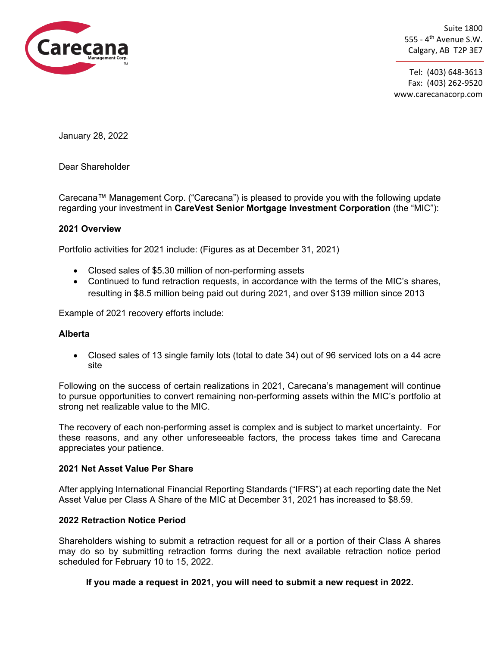

Suite 1800 555 -  $4^{\text{th}}$  Avenue S.W. Calgary, AB T2P 3E7

Tel: (403) 648-3613 Fax: (403) 262-9520 www.carecanacorp.com

January 28, 2022

Dear Shareholder

Carecana™ Management Corp. ("Carecana") is pleased to provide you with the following update regarding your investment in **CareVest Senior Mortgage Investment Corporation** (the "MIC"):

### **2021 Overview**

Portfolio activities for 2021 include: (Figures as at December 31, 2021)

- Closed sales of \$5.30 million of non-performing assets
- Continued to fund retraction requests, in accordance with the terms of the MIC's shares, resulting in \$8.5 million being paid out during 2021, and over \$139 million since 2013

Example of 2021 recovery efforts include:

### **Alberta**

• Closed sales of 13 single family lots (total to date 34) out of 96 serviced lots on a 44 acre site

Following on the success of certain realizations in 2021, Carecana's management will continue to pursue opportunities to convert remaining non-performing assets within the MIC's portfolio at strong net realizable value to the MIC.

The recovery of each non-performing asset is complex and is subject to market uncertainty. For these reasons, and any other unforeseeable factors, the process takes time and Carecana appreciates your patience.

### **2021 Net Asset Value Per Share**

After applying International Financial Reporting Standards ("IFRS") at each reporting date the Net Asset Value per Class A Share of the MIC at December 31, 2021 has increased to \$8.59.

# **2022 Retraction Notice Period**

Shareholders wishing to submit a retraction request for all or a portion of their Class A shares may do so by submitting retraction forms during the next available retraction notice period scheduled for February 10 to 15, 2022.

# **If you made a request in 2021, you will need to submit a new request in 2022.**